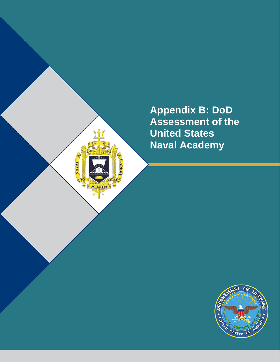**Appendix B: DoD Assessment of the United States Naval Academy**

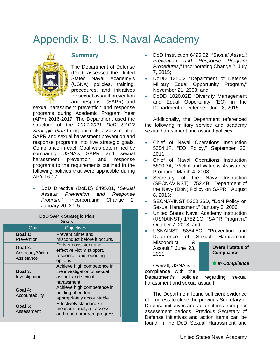# Appendix B: U.S. Naval Academy



## **Summary**

The Department of Defense (DoD) assessed the United States Naval Academy's (USNA) policies, training, procedures, and initiatives for sexual assault prevention and response (SAPR) and

sexual harassment prevention and response programs during Academic Program Year (APY) 2016-2017. The Department used the structure of the *2017-2021 DoD SAPR Strategic Plan* to organize its assessment of SAPR and sexual harassment prevention and response programs into five strategic goals. Compliance in each Goal was determined by comparing USNA's SAPR and sexual harassment prevention and response programs to the requirements outlined in the following policies that were applicable during APY 16-17.

• DoD Directive (DoDD) 6495.01, "*Sexual Assault Prevention and Response Program*," Incorporating Change 2, January 20, 2015;

#### **DoD SAPR Strategic Plan Goals**

| uvais                                    |                                                                                                |
|------------------------------------------|------------------------------------------------------------------------------------------------|
| Goal                                     | <b>Objectives</b>                                                                              |
| Goal 1:<br>Prevention                    | Prevent crime and<br>misconduct before it occurs.                                              |
| Goal 2:<br>Advocacy/Victim<br>Assistance | Deliver consistent and<br>effective victim support,<br>response, and reporting<br>options.     |
| Goal 3:<br>Investigation                 | Achieve high competence in<br>the investigation of sexual<br>assault and sexual<br>harassment. |
| Goal 4:<br>Accountability                | Achieve high competence in<br>holding offenders<br>appropriately accountable.                  |
| Goal 5:<br>Assessment                    | Effectively standardize,<br>measure, analyze, assess,<br>and report program progress.          |

- DoD Instruction 6495.02, "*Sexual Assault Prevention and Response Program Procedures*," Incorporating Change 2, July 7, 2015;
- DoDD 1350.2 "Department of Defense Military Equal Opportunity Program," November 21, 2003; and
- DoDD 1020.02E "Diversity Management and Equal Opportunity (EO) in the Department of Defense," June 8, 2015.

Additionally, the Department referenced the following military service and academy sexual harassment and assault policies:

- Chief of Naval Operations Instruction 5354.1F, "EO Policy," September 20, 2011;
- Chief of Naval Operations Instruction 5800.7A, "Victim and Witness Assistance Program," March 4, 2008;
- Secretary of the Navy Instruction (SECNAVINST) 1752.4B, "Department of the Navy (DoN) Policy on SAPR," August 8, 2013;
- SECNAVINST 5300.26D, "DoN Policy on Sexual Harassment," January 3, 2006;
- United States Naval Academy Instruction (USNAINST) 1752.1G, "SAPR Program," October 7, 2013; and

• USNAINST 5354.5C, "Prevention and Deterrence of Sexual Harassment, Misconduct & Assault," June 23, 2011. **Overall Status of Compliance:**

Overall, USNA is in

**•** In Compliance

compliance with the Department's policies regarding sexual harassment and sexual assault.

The Department found sufficient evidence of progress to close the previous Secretary of Defense initiatives and action items from prior assessment periods. Previous Secretary of Defense initiatives and action items can be found in the DoD Sexual Harassment and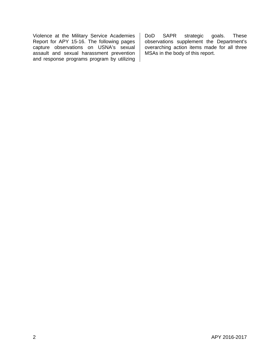Violence at the Military Service Academies Report for APY 15-16. The following pages capture observations on USNA's sexual assault and sexual harassment prevention and response programs program by utilizing

DoD SAPR strategic goals. These observations supplement the Department's overarching action items made for all three MSAs in the body of this report.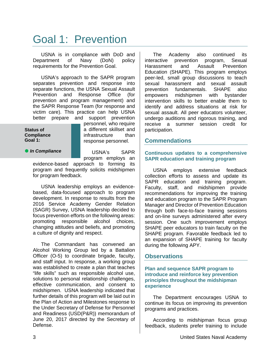## Goal 1: Prevention

USNA is in compliance with DoD and Department of Navy (DoN) policy requirements for the Prevention Goal.

USNA's approach to the SAPR program separates prevention and response into separate functions, the USNA Sexual Assault Prevention and Response Office (for prevention and program management) and the SAPR Response Team (for response and victim care). This practice can help USNA better prepare and support prevention

#### **Status of Compliance Goal 1:**

personnel, who require a different skillset and infrastructure than response personnel.

### **•** In Compliance

USNA's SAPR

program employs an evidence-based approach to forming its program and frequently solicits midshipmen for program feedback.

USNA leadership employs an evidencebased, data-focused approach to program development. In response to results from the 2016 Service Academy Gender Relation (SAGR) Survey, USNA leadership decided to focus prevention efforts on the following areas: promoting responsible alcohol choices, changing attitudes and beliefs, and promoting a culture of dignity and respect.

The Commandant has convened an Alcohol Working Group led by a Battalion Officer (O-5) to coordinate brigade, faculty, and staff input. In response, a working group was established to create a plan that teaches "life skills" such as responsible alcohol use, solutions to personal relationship challenges, effective communication, and consent to midshipmen. USNA leadership indicated that further details of this program will be laid out in the Plan of Action and Milestones response to the Under Secretary of Defense for Personnel and Readiness (USD(P&R)) memorandum of June 20, 2017 directed by the Secretary of Defense.

The Academy also continued its<br>ractive prevention program. Sexual interactive prevention program, Sexual Harassment and Assault Prevention Education (SHAPE). This program employs peer-led, small group discussions to teach sexual harassment and sexual assault prevention fundamentals. SHAPE also empowers midshipmen with bystander intervention skills to better enable them to identify and address situations at risk for sexual assault. All peer educators volunteer, undergo auditions and rigorous training, and receive a summer session credit for participation.

## **Commendations**

### **Continuous updates to a comprehensive SAPR education and training program**

USNA employs extensive feedback collection efforts to assess and update its SAPR education and training program. Faculty, staff, and midshipmen provide recommendations for improving the training and education program to the SAPR Program Manager and Director of Prevention Education through both face-to-face training sessions and on-line surveys administered after every session. One such improvement employs SHAPE peer educators to train faculty on the SHAPE program. Favorable feedback led to an expansion of SHAPE training for faculty during the following APY.

## **Observations**

### **Plan and sequence SAPR program to introduce and reinforce key prevention principles throughout the midshipman experience**

The Department encourages USNA to continue its focus on improving its prevention programs and practices.

According to midshipman focus group feedback, students prefer training to include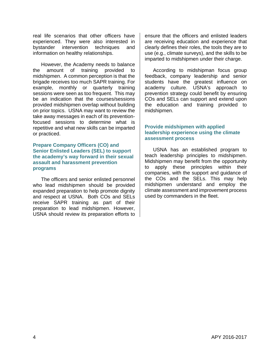real life scenarios that other officers have experienced. They were also interested in bystander intervention techniques and information on healthy relationships.

However, the Academy needs to balance the amount of training provided to midshipmen. A common perception is that the brigade receives too much SAPR training. For example, monthly or quarterly training sessions were seen as too frequent. This may be an indication that the courses/sessions provided midshipmen overlap without building on prior topics. USNA may want to review the take away messages in each of its preventionfocused sessions to determine what is repetitive and what new skills can be imparted or practiced.

#### **Prepare Company Officers (CO) and Senior Enlisted Leaders (SEL) to support the academy's way forward in their sexual assault and harassment prevention programs**

The officers and senior enlisted personnel who lead midshipmen should be provided expanded preparation to help promote dignity and respect at USNA. Both COs and SELs receive SAPR training as part of their preparation to lead midshipmen. However, USNA should review its preparation efforts to

ensure that the officers and enlisted leaders are receiving education and experience that clearly defines their roles, the tools they are to use (e.g., climate surveys), and the skills to be imparted to midshipmen under their charge.

According to midshipman focus group feedback, company leadership and senior students have the greatest influence on academy culture. USNA's approach to prevention strategy could benefit by ensuring COs and SELs can support and extend upon the education and training provided to midshipmen.

### **Provide midshipmen with applied leadership experience using the climate assessment process**

USNA has an established program to teach leadership principles to midshipmen. Midshipmen may benefit from the opportunity to apply these principles within their companies, with the support and guidance of the COs and the SELs. This may help midshipmen understand and employ the climate assessment and improvement process used by commanders in the fleet.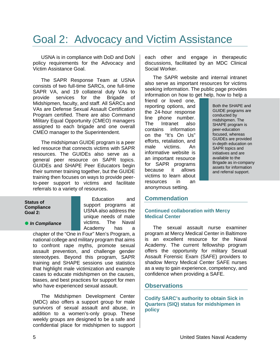## Goal 2: Advocacy and Victim Assistance

USNA is in compliance with DoD and DoN policy requirements for the Advocacy and Victim Assistance Goal.

The SAPR Response Team at USNA consists of two full-time SARCs, one full-time SAPR VA, and 19 collateral duty VAs to provide services for the Brigade of Midshipmen, faculty, and staff. All SARCs and VAs are Defense Sexual Assault Certification Program certified. There are also Command Military Equal Opportunity (CMEO) managers assigned to each brigade and one overall CMEO manager to the Superintendent.

The midshipman GUIDE program is a peer led resource that connects victims with SAPR resources. The GUIDEs also serve as a general peer resource on SAPR topics. GUIDEs and SHAPE Peer Educators begin their summer training together, but the GUIDE training then focuses on ways to provide peerto-peer support to victims and facilitate referrals to a variety of resources.

#### **Status of Compliance Goal 2:**

**•** In Compliance

Education and support programs at USNA also address the unique needs of male victims. The Naval Academy has a

chapter of the "One in Four" Men's Program, a national college and military program that aims to confront rape myths, promote sexual assault prevention, and challenge gender stereotypes. Beyond this program, SAPR training and SHAPE sessions use statistics that highlight male victimization and example cases to educate midshipmen on the causes, biases, and best practices for support for men who have experienced sexual assault.

The Midshipmen Development Center (MDC) also offers a support group for male survivors of sexual assault and abuse, in addition to a women's-only group. These weekly groups are designed to be a safe and confidential place for midshipmen to support each other and engage in therapeutic discussions, facilitated by an MDC Clinical Social Worker.

The SAPR website and internal intranet also serve as important resources for victims seeking information. The public page provides information on how to get help, how to help a

friend or loved one, reporting options, and the 24-hour response line phone number. The Intranet also contains information on the "It's On Us" efforts, retaliation, and male victims. An informative website is an important resource for SAPR programs because it allows victims to learn about resources in an anonymous setting.

Both the SHAPE and GUIDE programs are conducted by midshipmen. The SHAPE program is peer-education focused, whereas GUIDEs are provided in-depth education on SAPR topics and initiatives and are available to the Brigade as in-company assets for information and referral support.

## **Commendation**

### **Continued collaboration with Mercy Medical Center**

The sexual assault nurse examiner program at Mercy Medical Center in Baltimore is an excellent resource for the Naval Academy. The current fellowship program offers the opportunity for military Sexual Assault Forensic Exam (SAFE) providers to shadow Mercy Medical Center SAFE nurses as a way to gain experience, competency, and confidence when providing a SAFE.

## **Observations**

**Codify SARC's authority to obtain Sick in Quarters (SIQ) status for midshipmen in policy**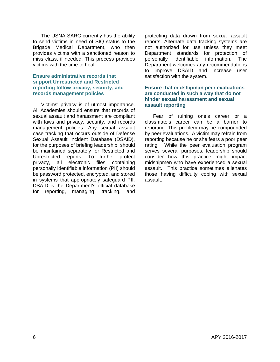The USNA SARC currently has the ability to send victims in need of SIQ status to the Brigade Medical Department, who then provides victims with a sanctioned reason to miss class, if needed. This process provides victims with the time to heal.

#### **Ensure administrative records that support Unrestricted and Restricted reporting follow privacy, security, and records management policies**

Victims' privacy is of utmost importance. All Academies should ensure that records of sexual assault and harassment are compliant with laws and privacy, security, and records management policies. Any sexual assault case tracking that occurs outside of Defense Sexual Assault Incident Database (DSAID), for the purposes of briefing leadership, should be maintained separately for Restricted and Unrestricted reports. To further protect privacy, all electronic files containing personally identifiable information (PII) should be password protected, encrypted, and stored in systems that appropriately safeguard PII. DSAID is the Department's official database for reporting, managing, tracking, and

protecting data drawn from sexual assault reports. Alternate data tracking systems are not authorized for use unless they meet Department standards for protection of personally identifiable information. The Department welcomes any recommendations to improve DSAID and increase user satisfaction with the system.

#### **Ensure that midshipman peer evaluations are conducted in such a way that do not hinder sexual harassment and sexual assault reporting**

Fear of ruining one's career or a classmate's career can be a barrier to reporting. This problem may be compounded by peer evaluations. A victim may refrain from reporting because he or she fears a poor peer rating. While the peer evaluation program serves several purposes, leadership should consider how this practice might impact midshipmen who have experienced a sexual assault. This practice sometimes alienates those having difficulty coping with sexual assault.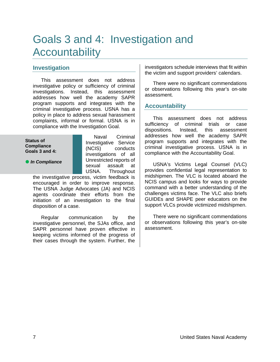## Goals 3 and 4: Investigation and **Accountability**

## **Investigation**

This assessment does not address investigative policy or sufficiency of criminal investigations. Instead, this assessment addresses how well the academy SAPR program supports and integrates with the criminal investigative process. USNA has a policy in place to address sexual harassment complaints, informal or formal. USNA is in compliance with the Investigation Goal.

#### **Status of Compliance Goals 3 and 4:**

*In Compliance*

Naval Criminal Investigative Service (NCIS) conducts investigations of all Unrestricted reports of sexual assault at USNA. Throughout

the investigative process, victim feedback is encouraged in order to improve response. The USNA Judge Advocates (JA) and NCIS agents coordinate their efforts from the initiation of an investigation to the final disposition of a case.

Regular communication by the investigative personnel, the SJAs office, and SAPR personnel have proven effective in keeping victims informed of the progress of their cases through the system. Further, the investigators schedule interviews that fit within the victim and support providers' calendars.

There were no significant commendations or observations following this year's on-site assessment.

## **Accountability**

This assessment does not address sufficiency of criminal trials or case dispositions. Instead, this assessment addresses how well the academy SAPR program supports and integrates with the criminal investigative process. USNA is in compliance with the Accountability Goal.

USNA's Victims Legal Counsel (VLC) provides confidential legal representation to midshipmen. The VLC is located aboard the NCIS campus and looks for ways to provide command with a better understanding of the challenges victims face. The VLC also briefs GUIDEs and SHAPE peer educators on the support VLCs provide victimized midshipmen.

There were no significant commendations or observations following this year's on-site assessment.